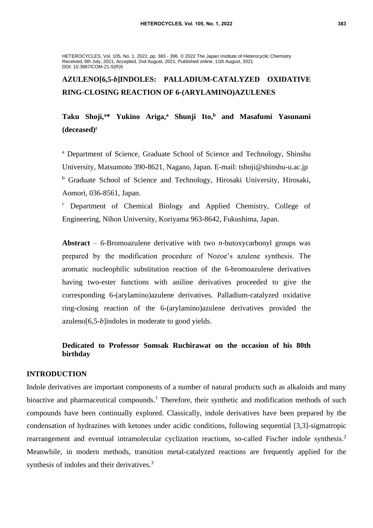HETEROCYCLES, Vol. 105, No. 1, 2022, pp. 383 - 396. © 2022 The Japan Institute of Heterocyclic Chemistry Received, 6th July, 2021, Accepted, 2nd August, 2021, Published online, 11th August, 2021 DOI: 10.3987/COM-21-S(R)5

# **AZULENO[6,5-***b***]INDOLES: PALLADIUM-CATALYZED OXIDATIVE RING-CLOSING REACTION OF 6-(ARYLAMINO)AZULENES**

**Taku Shoji,<sup>a</sup>\* Yukino Ariga,<sup>a</sup> Shunji Ito, <sup>b</sup> and Masafumi Yasunami (deceased)<sup>c</sup>**

<sup>a</sup> Department of Science, Graduate School of Science and Technology, Shinshu University, Matsumoto 390-8621, Nagano, Japan. E-mail: [tshoji@shinshu-u.ac.jp](mailto:tshoji@shinshu-u.ac.jp) <sup>b</sup> Graduate School of Science and Technology, Hirosaki University, Hirosaki, Aomori, 036-8561, Japan.

<sup>c</sup> Department of Chemical Biology and Applied Chemistry, College of Engineering, Nihon University, Koriyama 963-8642, Fukushima, Japan.

**Abstract** – 6-Bromoazulene derivative with two *n*-butoxycarbonyl groups was prepared by the modification procedure of Nozoe's azulene synthesis. The aromatic nucleophilic substitution reaction of the 6-bromoazulene derivatives having two-ester functions with aniline derivatives proceeded to give the corresponding 6-(arylamino)azulene derivatives. Palladium-catalyzed oxidative ring-closing reaction of the 6-(arylamino)azulene derivatives provided the azuleno[6,5-*b*]indoles in moderate to good yields.

# **Dedicated to Professor Somsak Ruchirawat on the occasion of his 80th birthday**

## **INTRODUCTION**

Indole derivatives are important components of a number of natural products such as alkaloids and many bioactive and pharmaceutical compounds.<sup>1</sup> Therefore, their synthetic and modification methods of such compounds have been continually explored. Classically, indole derivatives have been prepared by the condensation of hydrazines with ketones under acidic conditions, following sequential [3,3]-sigmatropic rearrangement and eventual intramolecular cyclization reactions, so-called Fischer indole synthesis.<sup>2</sup> Meanwhile, in modern methods, transition metal-catalyzed reactions are frequently applied for the synthesis of indoles and their derivatives.<sup>3</sup>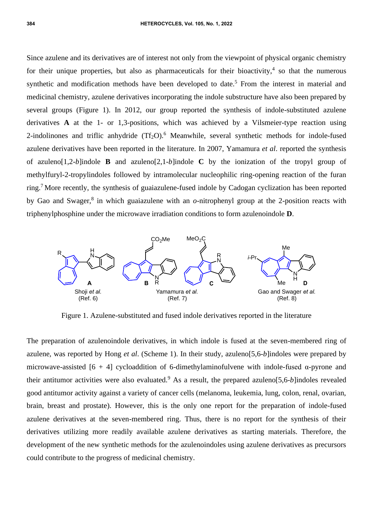Since azulene and its derivatives are of interest not only from the viewpoint of physical organic chemistry for their unique properties, but also as pharmaceuticals for their bioactivity,<sup>4</sup> so that the numerous synthetic and modification methods have been developed to date.<sup>5</sup> From the interest in material and medicinal chemistry, azulene derivatives incorporating the indole substructure have also been prepared by several groups (Figure 1). In 2012, our group reported the synthesis of indole-substituted azulene derivatives **A** at the 1- or 1,3-positions, which was achieved by a Vilsmeier-type reaction using 2-indolinones and triflic anhydride  $(Tf_2O)$ .<sup>6</sup> Meanwhile, several synthetic methods for indole-fused azulene derivatives have been reported in the literature. In 2007, Yamamura *et al*. reported the synthesis of azuleno[1,2*-b*]indole **B** and azuleno[2,1*-b*]indole **C** by the ionization of the tropyl group of methylfuryl-2-tropylindoles followed by intramolecular nucleophilic ring-opening reaction of the furan ring.<sup>7</sup> More recently, the synthesis of guaiazulene-fused indole by Cadogan cyclization has been reported by Gao and Swager, $8$  in which guaiazulene with an  $o$ -nitrophenyl group at the 2-position reacts with triphenylphosphine under the microwave irradiation conditions to form azulenoindole **D**.



Figure 1. Azulene-substituted and fused indole derivatives reported in the literature

The preparation of azulenoindole derivatives, in which indole is fused at the seven-membered ring of azulene, was reported by Hong *et al*. (Scheme 1). In their study, azuleno[5,6-*b*]indoles were prepared by microwave-assisted  $[6 + 4]$  cycloaddition of 6-dimethylaminofulvene with indole-fused  $\alpha$ -pyrone and their antitumor activities were also evaluated.<sup>9</sup> As a result, the prepared azuleno[5,6-*b*]indoles revealed good antitumor activity against a variety of cancer cells (melanoma, leukemia, lung, colon, renal, ovarian, brain, breast and prostate). However, this is the only one report for the preparation of indole-fused azulene derivatives at the seven-membered ring. Thus, there is no report for the synthesis of their derivatives utilizing more readily available azulene derivatives as starting materials. Therefore, the development of the new synthetic methods for the azulenoindoles using azulene derivatives as precursors could contribute to the progress of medicinal chemistry.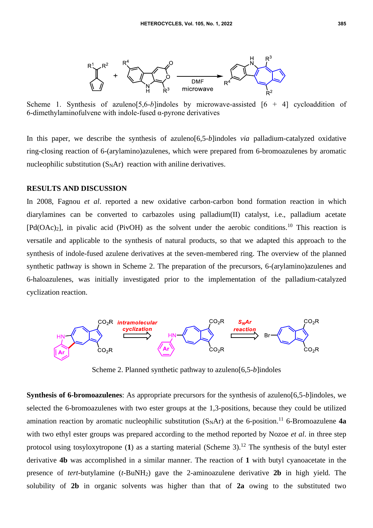

Scheme 1. Synthesis of azuleno<sup>[5,6-*b*]indoles by microwave-assisted [6 + 4] cycloaddition of</sup> 6-dimethylaminofulvene with indole-fused α-pyrone derivatives

In this paper, we describe the synthesis of azuleno[6,5-*b*]indoles *via* palladium-catalyzed oxidative ring-closing reaction of 6-(arylamino)azulenes, which were prepared from 6-bromoazulenes by aromatic nucleophilic substitution  $(S<sub>N</sub>Ar)$  reaction with aniline derivatives.

#### **RESULTS AND DISCUSSION**

In 2008, Fagnou *et al*. reported a new oxidative carbon-carbon bond formation reaction in which diarylamines can be converted to carbazoles using palladium(II) catalyst, i.e., palladium acetate  $[Pd(OAc)_2]$ , in pivalic acid (PivOH) as the solvent under the aerobic conditions.<sup>10</sup> This reaction is versatile and applicable to the synthesis of natural products, so that we adapted this approach to the synthesis of indole-fused azulene derivatives at the seven-membered ring. The overview of the planned synthetic pathway is shown in Scheme 2. The preparation of the precursors, 6-(arylamino)azulenes and 6-haloazulenes, was initially investigated prior to the implementation of the palladium-catalyzed cyclization reaction.



Scheme 2. Planned synthetic pathway to azuleno[6,5-*b*]indoles

**Synthesis of 6-bromoazulenes**: As appropriate precursors for the synthesis of azuleno[6,5-*b*]indoles, we selected the 6-bromoazulenes with two ester groups at the 1,3-positions, because they could be utilized amination reaction by aromatic nucleophilic substitution  $(S_NAr)$  at the 6-position.<sup>11</sup> 6-Bromoazulene **4a** with two ethyl ester groups was prepared according to the method reported by Nozoe *et al*. in three step protocol using tosyloxytropone  $(1)$  as a starting material (Scheme 3).<sup>12</sup> The synthesis of the butyl ester derivative **4b** was accomplished in a similar manner. The reaction of **1** with butyl cyanoacetate in the presence of *tert*-butylamine (*t*-BuNH2) gave the 2-aminoazulene derivative **2b** in high yield. The solubility of **2b** in organic solvents was higher than that of **2a** owing to the substituted two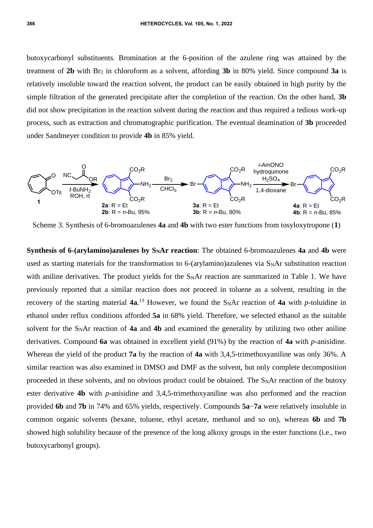butoxycarbonyl substituents. Bromination at the 6-position of the azulene ring was attained by the treatment of **2b** with Br<sup>2</sup> in chloroform as a solvent, affording **3b** in 80% yield. Since compound **3a** is relatively insoluble toward the reaction solvent, the product can be easily obtained in high purity by the simple filtration of the generated precipitate after the completion of the reaction. On the other hand, **3b** did not show precipitation in the reaction solvent during the reaction and thus required a tedious work-up process, such as extraction and chromatographic purification. The eventual deamination of **3b** proceeded under Sandmeyer condition to provide **4b** in 85% yield.



Scheme 3. Synthesis of 6-bromoazulenes **4a** and **4b** with two ester functions from tosyloxytropone (**1**)

**Synthesis of 6-(arylamino)azulenes by SNAr reaction**: The obtained 6-bromoazulenes **4a** and **4b** were used as starting materials for the transformation to 6-(arylamino)azulenes via S<sub>N</sub>Ar substitution reaction with aniline derivatives. The product yields for the  $S<sub>N</sub>Ar$  reaction are summarized in Table 1. We have previously reported that a similar reaction does not proceed in toluene as a solvent, resulting in the recovery of the starting material  $4a$ .<sup>13</sup> However, we found the S<sub>N</sub>Ar reaction of  $4a$  with *p*-toluidine in ethanol under reflux conditions afforded **5a** in 68% yield. Therefore, we selected ethanol as the suitable solvent for the S<sub>N</sub>Ar reaction of 4a and 4b and examined the generality by utilizing two other aniline derivatives. Compound **6a** was obtained in excellent yield (91%) by the reaction of **4a** with *p*-anisidine. Whereas the yield of the product **7a** by the reaction of **4a** with 3,4,5-trimethoxyaniline was only 36%. A similar reaction was also examined in DMSO and DMF as the solvent, but only complete decomposition proceeded in these solvents, and no obvious product could be obtained. The S<sub>N</sub>Ar reaction of the butoxy ester derivative **4b** with *p*-anisidine and 3,4,5-trimethoxyaniline was also performed and the reaction provided **6b** and **7b** in 74% and 65% yields, respectively. Compounds **5a**−**7a** were relatively insoluble in common organic solvents (hexane, toluene, ethyl acetate, methanol and so on), whereas **6b** and **7b** showed high solubility because of the presence of the long alkoxy groups in the ester functions (i.e., two butoxycarbonyl groups).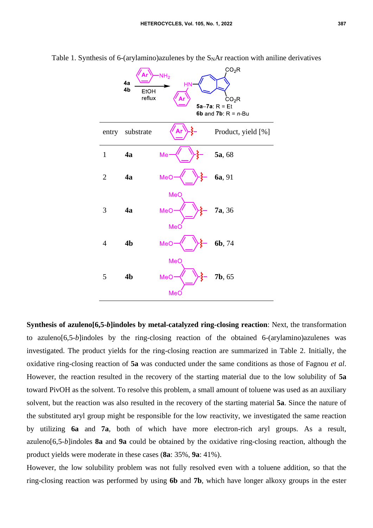|                | 4a<br>4b<br><b>EtOH</b><br>reflux | NH <sub>2</sub><br><b>HN</b> | CO <sub>2</sub> R<br>CO <sub>2</sub> R<br>$5a-7a$ : R = Et<br>6b and 7b: $R = n$ -Bu |
|----------------|-----------------------------------|------------------------------|--------------------------------------------------------------------------------------|
| entry          | substrate                         |                              | Product, yield [%]                                                                   |
| $\mathbf{1}$   | 4a                                | Me                           | 5a, 68                                                                               |
| $\overline{2}$ | 4a                                | ξ<br>MeC                     | 6a, 91                                                                               |
| 3              | 4a                                | MeO<br>MeO<br>MeC            | 7a, 36                                                                               |
| 4              | 4 <sub>b</sub>                    | MeC                          | 6b, 74                                                                               |
| 5              | 4 <sub>b</sub>                    | MeO<br>MeO<br>MeC            | 7b, 65                                                                               |

Table 1. Synthesis of 6-(arylamino)azulenes by the  $S<sub>N</sub>Ar$  reaction with aniline derivatives

**Synthesis of azuleno[6,5-***b***]indoles by metal-catalyzed ring-closing reaction**: Next, the transformation to azuleno[6,5-*b*]indoles by the ring-closing reaction of the obtained 6-(arylamino)azulenes was investigated. The product yields for the ring-closing reaction are summarized in Table 2. Initially, the oxidative ring-closing reaction of **5a** was conducted under the same conditions as those of Fagnou *et al*. However, the reaction resulted in the recovery of the starting material due to the low solubility of **5a** toward PivOH as the solvent. To resolve this problem, a small amount of toluene was used as an auxiliary solvent, but the reaction was also resulted in the recovery of the starting material **5a**. Since the nature of the substituted aryl group might be responsible for the low reactivity, we investigated the same reaction by utilizing **6a** and **7a**, both of which have more electron-rich aryl groups. As a result, azuleno[6,5-*b*]indoles **8a** and **9a** could be obtained by the oxidative ring-closing reaction, although the product yields were moderate in these cases (**8a**: 35%, **9a**: 41%).

However, the low solubility problem was not fully resolved even with a toluene addition, so that the ring-closing reaction was performed by using **6b** and **7b**, which have longer alkoxy groups in the ester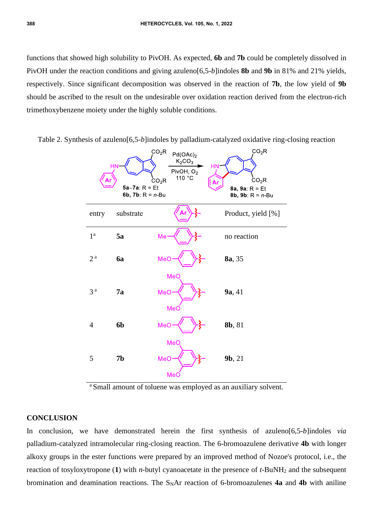functions that showed high solubility to PivOH. As expected, **6b** and **7b** could be completely dissolved in PivOH under the reaction conditions and giving azuleno[6,5-*b*]indoles **8b** and **9b** in 81% and 21% yields, respectively. Since significant decomposition was observed in the reaction of **7b**, the low yield of **9b** should be ascribed to the result on the undesirable over oxidation reaction derived from the electron-rich trimethoxybenzene moiety under the highly soluble conditions.

> $CO<sub>2</sub>R$  $CO<sub>2</sub>R$  $Pd(OAc)_2$  $K_2CO_2$ PivOH,  $O_2$  $^{\circ}C$  $110$ ĊO<sub>2</sub>R  $CO<sub>2</sub>R$  $5a-7a$ : R = Et 8a, 9a;  $R = Et$ 6b, 7b:  $R = n$ -Bu 8b, 9b:  $R = n$ -Bu entry substrate  $\langle \mathbf{Ar} \rangle$ - $\xi$ - Product, yield [%] 1 a  $5a$  Me<sup> $\left\langle \right\rangle$   $\}$ <sup>2</sup> no reaction</sup> 2 a **6a MeO**  $\frac{1}{2}$  **8a**, 35 Me<sub>C</sub> 3 a **7a MeO**  $\left\{\n\right\}$   $\left\{\n\right\}$  **9a**, 41  $Me<sub>0</sub>$ 4 **6b**  $\text{MeO} \rightarrow \begin{cases} \rightarrow \text{S} - \text{8} & \text{8} & \text{8} \\ \text{8} & \text{8} \end{cases}$ **MeC** 5 **7b MeO**  $\left\{\n\right\}$   $\left\{\n\right\}$  **9b**, 21  $MeC$

Table 2. Synthesis of azuleno[6,5-*b*]indoles by palladium-catalyzed oxidative ring-closing reaction

<sup>a</sup> Small amount of toluene was employed as an auxiliary solvent.

# **CONCLUSION**

In conclusion, we have demonstrated herein the first synthesis of azuleno[6,5-*b*]indoles *via* palladium-catalyzed intramolecular ring-closing reaction. The 6-bromoazulene derivative **4b** with longer alkoxy groups in the ester functions were prepared by an improved method of Nozoe's protocol, i.e., the reaction of tosyloxytropone (**1**) with *n*-butyl cyanoacetate in the presence of *t*-BuNH<sup>2</sup> and the subsequent bromination and deamination reactions. The S<sub>N</sub>Ar reaction of 6-bromoazulenes **4a** and **4b** with aniline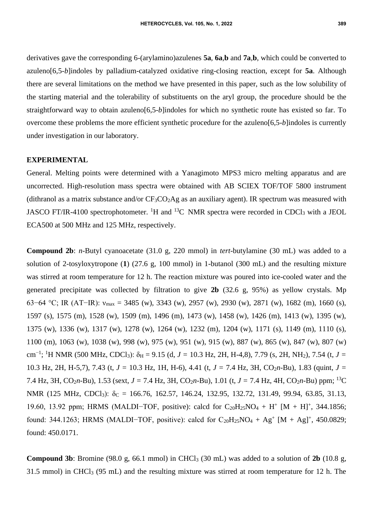derivatives gave the corresponding 6-(arylamino)azulenes **5a**, **6a**,**b** and **7a**,**b**, which could be converted to azuleno[6,5-*b*]indoles by palladium-catalyzed oxidative ring-closing reaction, except for **5a**. Although there are several limitations on the method we have presented in this paper, such as the low solubility of the starting material and the tolerability of substituents on the aryl group, the procedure should be the straightforward way to obtain azuleno[6,5-*b*]indoles for which no synthetic route has existed so far. To overcome these problems the more efficient synthetic procedure for the azuleno[6,5-*b*]indoles is currently under investigation in our laboratory.

#### **EXPERIMENTAL**

General. Melting points were determined with a Yanagimoto MPS3 micro melting apparatus and are uncorrected. High-resolution mass spectra were obtained with AB SCIEX TOF/TOF 5800 instrument (dithranol as a matrix substance and/or  $CF_3CO_2Ag$  as an auxiliary agent). IR spectrum was measured with JASCO FT/IR-4100 spectrophotometer. <sup>1</sup>H and <sup>13</sup>C NMR spectra were recorded in CDCl<sub>3</sub> with a JEOL ECA500 at 500 MHz and 125 MHz, respectively.

**Compound 2b**: *n*-Butyl cyanoacetate (31.0 g, 220 mmol) in *tert*-butylamine (30 mL) was added to a solution of 2-tosyloxytropone (**1**) (27.6 g, 100 mmol) in 1-butanol (300 mL) and the resulting mixture was stirred at room temperature for 12 h. The reaction mixture was poured into ice-cooled water and the generated precipitate was collected by filtration to give **2b** (32.6 g, 95%) as yellow crystals. Mp 63−64 °C; IR (AT−IR): νmax = 3485 (w), 3343 (w), 2957 (w), 2930 (w), 2871 (w), 1682 (m), 1660 (s), 1597 (s), 1575 (m), 1528 (w), 1509 (m), 1496 (m), 1473 (w), 1458 (w), 1426 (m), 1413 (w), 1395 (w), 1375 (w), 1336 (w), 1317 (w), 1278 (w), 1264 (w), 1232 (m), 1204 (w), 1171 (s), 1149 (m), 1110 (s), 1100 (m), 1063 (w), 1038 (w), 998 (w), 975 (w), 951 (w), 915 (w), 887 (w), 865 (w), 847 (w), 807 (w) cm−1 ; <sup>1</sup>H NMR (500 MHz, CDCl3): δ<sup>H</sup> = 9.15 (d, *J =* 10.3 Hz, 2H, H-4,8), 7.79 (s, 2H, NH2), 7.54 (t, *J =* 10.3 Hz, 2H, H-5,7), 7.43 (t, *J =* 10.3 Hz, 1H, H-6), 4.41 (t, *J =* 7.4 Hz, 3H, CO2*n*-Bu), 1.83 (quint, *J =* 7.4 Hz, 3H, CO<sub>2</sub>n-Bu), 1.53 (sext,  $J = 7.4$  Hz, 3H, CO<sub>2</sub>n-Bu), 1.01 (t,  $J = 7.4$  Hz, 4H, CO<sub>2</sub>n-Bu) ppm; <sup>13</sup>C NMR (125 MHz, CDCl<sub>3</sub>):  $\delta_C = 166.76, 162.57, 146.24, 132.95, 132.72, 131.49, 99.94, 63.85, 31.13,$ 19.60, 13.92 ppm; HRMS (MALDI-TOF, positive): calcd for C<sub>20</sub>H<sub>25</sub>NO<sub>4</sub> + H<sup>+</sup> [M + H]<sup>+</sup>, 344.1856; found: 344.1263; HRMS (MALDI-TOF, positive): calcd for  $C_{20}H_{25}NO_4 + Ag^+ [M + Ag]^+, 450.0829;$ found: 450.0171.

**Compound 3b**: Bromine (98.0 g, 66.1 mmol) in CHCl<sub>3</sub> (30 mL) was added to a solution of  $2b$  (10.8 g, 31.5 mmol) in CHCl<sup>3</sup> (95 mL) and the resulting mixture was stirred at room temperature for 12 h. The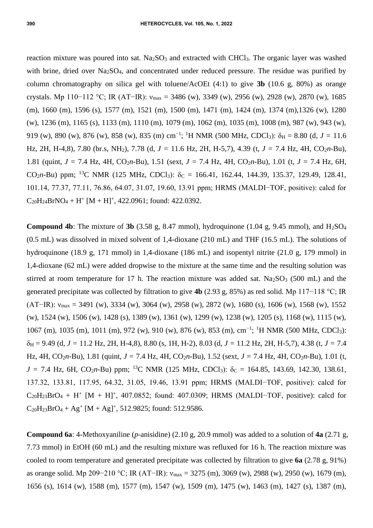reaction mixture was poured into sat. Na<sub>2</sub>SO<sub>3</sub> and extracted with CHCl<sub>3</sub>. The organic layer was washed with brine, dried over Na<sub>2</sub>SO<sub>4</sub>, and concentrated under reduced pressure. The residue was purified by column chromatography on silica gel with toluene/AcOEt (4:1) to give **3b** (10.6 g, 80%) as orange crystals. Mp 110−112 °C; IR (AT−IR):  $v_{\text{max}} = 3486$  (w), 3349 (w), 2956 (w), 2928 (w), 2870 (w), 1685 (m), 1660 (m), 1596 (s), 1577 (m), 1521 (m), 1500 (m), 1471 (m), 1424 (m), 1374 (m),1326 (w), 1280 (w), 1236 (m), 1165 (s), 1133 (m), 1110 (m), 1079 (m), 1062 (m), 1035 (m), 1008 (m), 987 (w), 943 (w), 919 (w), 890 (w), 876 (w), 858 (w), 835 (m) cm<sup>-1</sup>; <sup>1</sup>H NMR (500 MHz, CDCl<sub>3</sub>):  $\delta$ <sub>H</sub> = 8.80 (d, *J* = 11.6 Hz, 2H, H-4,8), 7.80 (br.s, NH2), 7.78 (d, *J =* 11.6 Hz, 2H, H-5,7), 4.39 (t, *J =* 7.4 Hz, 4H, CO2*n*-Bu), 1.81 (quint,  $J = 7.4$  Hz, 4H, CO<sub>2</sub>*n*-Bu), 1.51 (sext,  $J = 7.4$  Hz, 4H, CO<sub>2</sub>*n*-Bu), 1.01 (t,  $J = 7.4$  Hz, 6H, CO<sub>2</sub>n-Bu) ppm; <sup>13</sup>C NMR (125 MHz, CDCl<sub>3</sub>):  $\delta$ <sub>C</sub> = 166.41, 162.44, 144.39, 135.37, 129.49, 128.41, 101.14, 77.37, 77.11, 76.86, 64.07, 31.07, 19.60, 13.91 ppm; HRMS (MALDI−TOF, positive): calcd for  $C_{20}H_{24}BrNO_4 + H^+ [M + H]^+, 422.0961$ ; found: 422.0392.

**Compound 4b**: The mixture of 3b (3.58 g, 8.47 mmol), hydroquinone (1.04 g, 9.45 mmol), and  $H_2SO_4$ (0.5 mL) was dissolved in mixed solvent of 1,4-dioxane (210 mL) and THF (16.5 mL). The solutions of hydroquinone (18.9 g, 171 mmol) in 1,4-dioxane (186 mL) and isopentyl nitrite (21.0 g, 179 mmol) in 1,4-dioxane (62 mL) were added dropwise to the mixture at the same time and the resulting solution was stirred at room temperature for 17 h. The reaction mixture was added sat.  $Na<sub>2</sub>SO<sub>3</sub>$  (500 mL) and the generated precipitate was collected by filtration to give **4b** (2.93 g, 85%) as red solid. Mp 117−118 °C; IR (AT−IR):  $v_{\text{max}} = 3491$  (w), 3334 (w), 3064 (w), 2958 (w), 2872 (w), 1680 (s), 1606 (w), 1568 (w), 1552 (w), 1524 (w), 1506 (w), 1428 (s), 1389 (w), 1361 (w), 1299 (w), 1238 (w), 1205 (s), 1168 (w), 1115 (w), 1067 (m), 1035 (m), 1011 (m), 972 (w), 910 (w), 876 (w), 853 (m), cm−1 ; <sup>1</sup>H NMR (500 MHz, CDCl3): δ<sup>H</sup> = 9.49 (d, *J =* 11.2 Hz, 2H, H-4,8), 8.80 (s, 1H, H-2), 8.03 (d, *J =* 11.2 Hz, 2H, H-5,7), 4.38 (t, *J =* 7.4 Hz, 4H, CO2*n*-Bu), 1.81 (quint, *J =* 7.4 Hz, 4H, CO2*n*-Bu), 1.52 (sext, *J =* 7.4 Hz, 4H, CO2*n*-Bu), 1.01 (t,  $J = 7.4$  Hz, 6H, CO<sub>2</sub>*n*-Bu) ppm; <sup>13</sup>C NMR (125 MHz, CDCl<sub>3</sub>):  $\delta$ <sub>C</sub> = 164.85, 143.69, 142.30, 138.61, 137.32, 133.81, 117.95, 64.32, 31.05, 19.46, 13.91 ppm; HRMS (MALDI−TOF, positive): calcd for  $C_{20}H_{23}BrO_4 + H^+ [M + H]^+, 407.0852$ ; found: 407.0309; HRMS (MALDI-TOF, positive): calcd for  $C_{20}H_{23}BrO_4 + Ag^+ [M + Ag]^+, 512.9825$ ; found: 512.9586.

**Compound 6a**: 4-Methoxyaniline (*p*-anisidine) (2.10 g, 20.9 mmol) was added to a solution of **4a** (2.71 g, 7.73 mmol) in EtOH (60 mL) and the resulting mixture was refluxed for 16 h. The reaction mixture was cooled to room temperature and generated precipitate was collected by filtration to give **6a** (2.78 g, 91%) as orange solid. Mp 209−210 °C; IR (AT−IR): νmax = 3275 (m), 3069 (w), 2988 (w), 2950 (w), 1679 (m), 1656 (s), 1614 (w), 1588 (m), 1577 (m), 1547 (w), 1509 (m), 1475 (w), 1463 (m), 1427 (s), 1387 (m),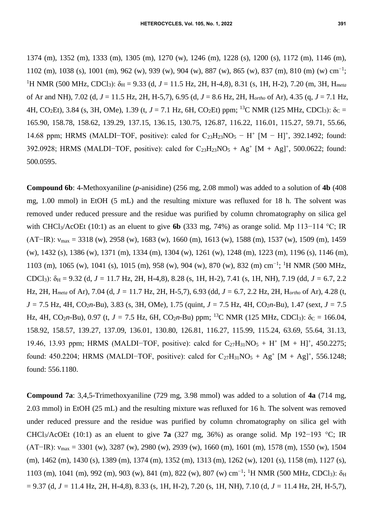1374 (m), 1352 (m), 1333 (m), 1305 (m), 1270 (w), 1246 (m), 1228 (s), 1200 (s), 1172 (m), 1146 (m), 1102 (m), 1038 (s), 1001 (m), 962 (w), 939 (w), 904 (w), 887 (w), 865 (w), 837 (m), 810 (m) (w) cm−1 ; <sup>1</sup>H NMR (500 MHz, CDCl<sub>3</sub>):  $\delta_H$  = 9.33 (d, *J* = 11.5 Hz, 2H, H-4,8), 8.31 (s, 1H, H-2), 7.20 (m, 3H, H<sub>meta</sub> of Ar and NH), 7.02 (d, *J* = 11.5 Hz, 2H, H-5,7), 6.95 (d, *J* = 8.6 Hz, 2H, H*ortho* of Ar), 4.35 (q, *J* = 7.1 Hz, 4H, CO<sub>2</sub>Et), 3.84 (s, 3H, OMe), 1.39 (t,  $J = 7.1$  Hz, 6H, CO<sub>2</sub>Et) ppm; <sup>13</sup>C NMR (125 MHz, CDCl<sub>3</sub>):  $\delta$ <sub>C</sub> = 165.90, 158.78, 158.62, 139.29, 137.15, 136.15, 130.75, 126.87, 116.22, 116.01, 115.27, 59.71, 55.66, 14.68 ppm; HRMS (MALDI-TOF, positive): calcd for C<sub>23</sub>H<sub>23</sub>NO<sub>5</sub> − H<sup>+</sup> [M − H]<sup>+</sup>, 392.1492; found: 392.0928; HRMS (MALDI-TOF, positive): calcd for  $C_{23}H_{23}NO_5 + Ag^+ [M + Ag]^+, 500.0622$ ; found: 500.0595.

**Compound 6b**: 4-Methoxyaniline (*p-*anisidine) (256 mg, 2.08 mmol) was added to a solution of **4b** (408 mg, 1.00 mmol) in EtOH (5 mL) and the resulting mixture was refluxed for 18 h. The solvent was removed under reduced pressure and the residue was purified by column chromatography on silica gel with CHCl3/AcOEt (10:1) as an eluent to give **6b** (333 mg, 74%) as orange solid. Mp 113−114 °C; IR (AT−IR):  $v_{\text{max}} = 3318$  (w), 2958 (w), 1683 (w), 1660 (m), 1613 (w), 1588 (m), 1537 (w), 1509 (m), 1459 (w), 1432 (s), 1386 (w), 1371 (m), 1334 (m), 1304 (w), 1261 (w), 1248 (m), 1223 (m), 1196 (s), 1146 (m), 1103 (m), 1065 (w), 1041 (s), 1015 (m), 958 (w), 904 (w), 870 (w), 832 (m) cm−1 ; <sup>1</sup>H NMR (500 MHz, CDCl<sub>3</sub>):  $\delta_H$  = 9.32 (d, *J* = 11.7 Hz, 2H, H-4,8), 8.28 (s, 1H, H-2), 7.41 (s, 1H, NH), 7.19 (dd, *J* = 6.7, 2.2 Hz, 2H, H*meta* of Ar), 7.04 (d, *J =* 11.7 Hz, 2H, H-5,7), 6.93 (dd, *J =* 6.7, 2.2 Hz, 2H, H*ortho* of Ar), 4.28 (t, *J =* 7.5 Hz, 4H, CO2*n*-Bu), 3.83 (s, 3H, OMe), 1.75 (quint, *J =* 7.5 Hz, 4H, CO2*n*-Bu), 1.47 (sext, *J =* 7.5 Hz, 4H, CO<sub>2</sub>*n*-Bu), 0.97 (t, *J* = 7.5 Hz, 6H, CO<sub>2</sub>*n*-Bu) ppm; <sup>13</sup>C NMR (125 MHz, CDCl<sub>3</sub>):  $\delta_C = 166.04$ , 158.92, 158.57, 139.27, 137.09, 136.01, 130.80, 126.81, 116.27, 115.99, 115.24, 63.69, 55.64, 31.13, 19.46, 13.93 ppm; HRMS (MALDI-TOF, positive): calcd for C<sub>27</sub>H<sub>31</sub>NO<sub>5</sub> + H<sup>+</sup> [M + H]<sup>+</sup>, 450.2275; found: 450.2204; HRMS (MALDI-TOF, positive): calcd for  $C_{27}H_{31}NO_5 + Ag^+ [M + Ag]^+, 556.1248;$ found: 556.1180.

**Compound 7a**: 3,4,5-Trimethoxyaniline (729 mg, 3.98 mmol) was added to a solution of **4a** (714 mg, 2.03 mmol) in EtOH (25 mL) and the resulting mixture was refluxed for 16 h. The solvent was removed under reduced pressure and the residue was purified by column chromatography on silica gel with CHCl3/AcOEt (10:1) as an eluent to give **7a** (327 mg, 36%) as orange solid. Mp 192−193 °C; IR (AT−IR):  $v_{\text{max}} = 3301$  (w), 3287 (w), 2980 (w), 2939 (w), 1660 (m), 1601 (m), 1578 (m), 1550 (w), 1504 (m), 1462 (m), 1430 (s), 1389 (m), 1374 (m), 1352 (m), 1313 (m), 1262 (w), 1201 (s), 1158 (m), 1127 (s), 1103 (m), 1041 (m), 992 (m), 903 (w), 841 (m), 822 (w), 807 (w) cm<sup>-1</sup>; <sup>1</sup>H NMR (500 MHz, CDCl<sub>3</sub>): δ<sub>H</sub> = 9.37 (d, *J =* 11.4 Hz, 2H, H-4,8), 8.33 (s, 1H, H-2), 7.20 (s, 1H, NH), 7.10 (d, *J =* 11.4 Hz, 2H, H-5,7),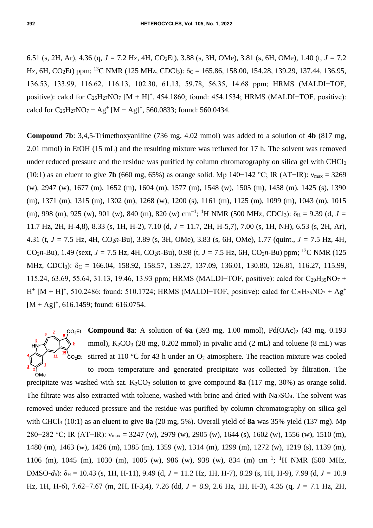6.51 (s, 2H, Ar), 4.36 (q, *J =* 7.2 Hz, 4H, CO2Et), 3.88 (s, 3H, OMe), 3.81 (s, 6H, OMe), 1.40 (t, *J =* 7.2 Hz, 6H, CO<sub>2</sub>Et) ppm; <sup>13</sup>C NMR (125 MHz, CDCl<sub>3</sub>):  $\delta$ c = 165.86, 158.00, 154.28, 139.29, 137.44, 136.95, 136.53, 133.99, 116.62, 116.13, 102.30, 61.13, 59.78, 56.35, 14.68 ppm; HRMS (MALDI−TOF, positive): calcd for  $C_{25}H_{27}NO_7$  [M + H]<sup>+</sup>, 454.1860; found: 454.1534; HRMS (MALDI–TOF, positive): calcd for  $C_{25}H_{27}NO_7 + Ag^+ [M + Ag]^+, 560.0833$ ; found: 560.0434.

**Compound 7b**: 3,4,5-Trimethoxyaniline (736 mg, 4.02 mmol) was added to a solution of **4b** (817 mg, 2.01 mmol) in EtOH (15 mL) and the resulting mixture was refluxed for 17 h. The solvent was removed under reduced pressure and the residue was purified by column chromatography on silica gel with CHCl<sup>3</sup> (10:1) as an eluent to give **7b** (660 mg, 65%) as orange solid. Mp 140−142 °C; IR (AT−IR): νmax = 3269 (w), 2947 (w), 1677 (m), 1652 (m), 1604 (m), 1577 (m), 1548 (w), 1505 (m), 1458 (m), 1425 (s), 1390 (m), 1371 (m), 1315 (m), 1302 (m), 1268 (w), 1200 (s), 1161 (m), 1125 (m), 1099 (m), 1043 (m), 1015 (m), 998 (m), 925 (w), 901 (w), 840 (m), 820 (w) cm<sup>-1</sup>; <sup>1</sup>H NMR (500 MHz, CDCl<sub>3</sub>):  $\delta$ <sub>H</sub> = 9.39 (d, *J* = 11.7 Hz, 2H, H-4,8), 8.33 (s, 1H, H-2), 7.10 (d, *J =* 11.7, 2H, H-5,7), 7.00 (s, 1H, NH), 6.53 (s, 2H, Ar), 4.31 (t, *J =* 7.5 Hz, 4H, CO2*n*-Bu), 3.89 (s, 3H, OMe), 3.83 (s, 6H, OMe), 1.77 (quint., *J =* 7.5 Hz, 4H, CO<sub>2</sub>*n*-Bu), 1.49 (sext,  $J = 7.5$  Hz, 4H, CO<sub>2</sub>*n*-Bu), 0.98 (t,  $J = 7.5$  Hz, 6H, CO<sub>2</sub>*n*-Bu) ppm; <sup>13</sup>C NMR (125 MHz, CDCl<sub>3</sub>):  $\delta_C = 166.04, 158.92, 158.57, 139.27, 137.09, 136.01, 130.80, 126.81, 116.27, 115.99$ 115.24, 63.69, 55.64, 31.13, 19.46, 13.93 ppm; HRMS (MALDI−TOF, positive): calcd for C29H35NO<sup>7</sup> +  $H^+$  [M + H]<sup>+</sup>, 510.2486; found: 510.1724; HRMS (MALDI–TOF, positive): calcd for C<sub>29</sub>H<sub>35</sub>NO<sub>7</sub> + Ag<sup>+</sup>  $[M + Ag]^{+}$ , 616.1459; found: 616.0754.



precipitate was washed with sat.  $K_2CO_3$  solution to give compound **8a** (117 mg, 30%) as orange solid. The filtrate was also extracted with toluene, washed with brine and dried with  $Na<sub>2</sub>SO<sub>4</sub>$ . The solvent was removed under reduced pressure and the residue was purified by column chromatography on silica gel with CHCl<sup>3</sup> (10:1) as an eluent to give **8a** (20 mg, 5%). Overall yield of **8a** was 35% yield (137 mg). Mp 280−282 °C; IR (AT−IR): νmax = 3247 (w), 2979 (w), 2905 (w), 1644 (s), 1602 (w), 1556 (w), 1510 (m), 1480 (m), 1463 (w), 1426 (m), 1385 (m), 1359 (w), 1314 (m), 1299 (m), 1272 (w), 1219 (s), 1139 (m), 1106 (m), 1045 (m), 1030 (m), 1005 (w), 986 (w), 938 (w), 834 (m) cm<sup>-1</sup>; <sup>1</sup>H NMR (500 MHz, DMSO-*d*6): δ<sup>H</sup> = 10.43 (s, 1H, H-11), 9.49 (d, *J =* 11.2 Hz, 1H, H-7), 8.29 (s, 1H, H-9), 7.99 (d, *J =* 10.9 Hz, 1H, H-6), 7.62−7.67 (m, 2H, H-3,4), 7.26 (dd, *J =* 8.9, 2.6 Hz, 1H, H-3), 4.35 (q, *J =* 7.1 Hz, 2H,

 $11$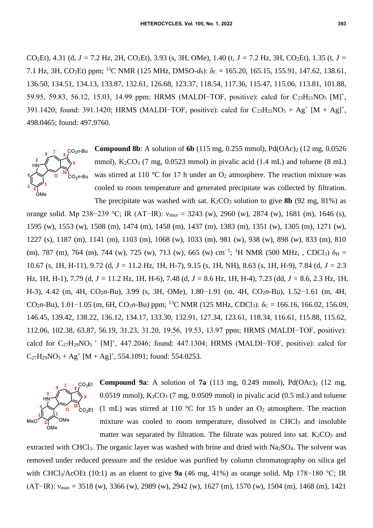CO2Et), 4.31 (d, *J =* 7.2 Hz, 2H, CO2Et), 3.93 (s, 3H, OMe), 1.40 (t, *J =* 7.2 Hz, 3H, CO2Et), 1.35 (t, *J =* 7.1 Hz, 3H, CO<sub>2</sub>Et) ppm; <sup>13</sup>C NMR (125 MHz, DMSO- $d_6$ ):  $\delta_c = 165.20$ , 165.15, 155.91, 147.62, 138.61, 136.50, 134.51, 134.13, 133.87, 132.61, 126.68, 123.37, 118.54, 117.36, 115.47, 115.06, 113.81, 101.88, 59.95, 59.83, 56.12, 15.03, 14.99 ppm; HRMS (MALDI-TOF, positive): calcd for C<sub>23</sub>H<sub>21</sub>NO<sub>5</sub> [M]<sup>+</sup>, 391.1420; found: 391.1420; HRMS (MALDI-TOF, positive): calcd for  $C_{23}H_{21}NO_5 + Ag^+ [M + Ag]^+,$ 498.0465; found: 497.9760.

**Compound 8b**: A solution of **6b** (115 mg, 0.255 mmol), Pd(OAc)<sub>2</sub> (12 mg, 0.0526)  $CO<sub>2</sub>n$ -Bu mmol),  $K_2CO_3$  (7 mg, 0.0523 mmol) in pivalic acid (1.4 mL) and toluene (8 mL) was stirred at 110 °C for 17 h under an  $O_2$  atmosphere. The reaction mixture was **՝**<br>CO<sub>2</sub>ո-Bu cooled to room temperature and generated precipitate was collected by filtration. ÒMe The precipitate was washed with sat.  $K_2CO_3$  solution to give **8b** (92 mg, 81%) as

orange solid. Mp 238−239 °C; IR (AT−IR):  $v_{max}$  = 3243 (w), 2960 (w), 2874 (w), 1681 (m), 1646 (s), 1595 (w), 1553 (w), 1508 (m), 1474 (m), 1458 (m), 1437 (m), 1383 (m), 1351 (w), 1305 (m), 1271 (w), 1227 (s), 1187 (m), 1141 (m), 1103 (m), 1068 (w), 1033 (m), 981 (w), 938 (w), 898 (w), 833 (m), 810 (m), 787 (m), 764 (m), 744 (w), 725 (w), 713 (w), 665 (w) cm<sup>-1</sup>; <sup>1</sup>H NMR (500 MHz, , CDCl<sub>3</sub>)  $\delta_H$  = 10.67 (s, 1H, H-11), 9.72 (d, *J =* 11.2 Hz, 1H, H-7), 9.15 (s, 1H, NH), 8.63 (s, 1H, H-9), 7.84 (d, *J =* 2.3 Hz, 1H, H-1), 7.79 (d, *J =* 11.2 Hz, 1H, H-6), 7.48 (d, *J =* 8.6 Hz, 1H, H-4), 7.23 (dd, *J =* 8.6, 2.3 Hz, 1H, H-3), 4.42 (m, 4H, CO2*n*-Bu), 3.99 (s, 3H, OMe), 1.80−1.91 (m, 4H, CO2*n*-Bu), 1.52−1.61 (m, 4H, CO<sub>2</sub>*n*-Bu), 1.01−1.05 (m, 6H, CO<sub>2</sub>*n*-Bu) ppm; <sup>13</sup>C NMR (125 MHz, CDCl<sub>3</sub>):  $\delta_c = 166.16, 166.02, 156.09$ , 146.45, 139.42, 138.22, 136.12, 134.17, 133.30, 132.91, 127.34, 123.61, 118.34, 116.61, 115.88, 115.62, 112.06, 102.38, 63.87, 56.19, 31.23, 31.20, 19.56, 19.53, 13.97 ppm; HRMS (MALDI−TOF, positive): calcd for  $C_{27}H_{29}NO<sub>5</sub>$  + [M]<sup>+</sup>, 447.2046; found: 447.1304; HRMS (MALDI-TOF, positive): calcd for  $C_{27}H_{29}NO_5 + Ag^+ [M + Ag]^+, 554.1091$ ; found: 554.0253.



**Compound 9a:** A solution of **7a** (113 mg, 0.249 mmol),  $Pd(OAc)_{2}$  (12 mg, 0.0519 mmol),  $K_2CO_3$  (7 mg, 0.0509 mmol) in pivalic acid (0.5 mL) and toluene (1 mL) was stirred at 110 °C for 15 h under an  $O_2$  atmosphere. The reaction mixture was cooled to room temperature, dissolved in CHCl<sub>3</sub> and insoluble matter was separated by filtration. The filtrate was poured into sat.  $K_2CO_3$  and

extracted with CHCl<sub>3</sub>. The organic layer was washed with brine and dried with Na<sub>2</sub>SO<sub>4</sub>. The solvent was removed under reduced pressure and the residue was purified by column chromatography on silica gel with CHCl3/AcOEt (10:1) as an eluent to give **9a** (46 mg, 41%) as orange solid. Mp 178−180 °C; IR (AT−IR):  $v_{\text{max}} = 3518$  (w), 3366 (w), 2989 (w), 2942 (w), 1627 (m), 1570 (w), 1504 (m), 1468 (m), 1421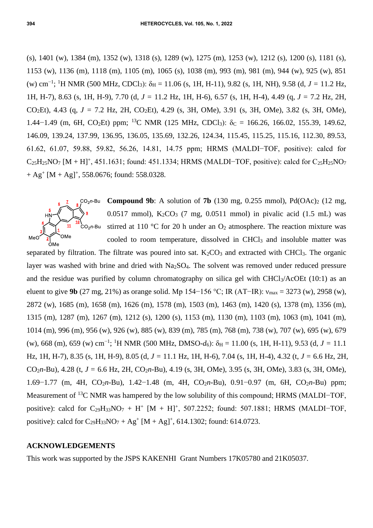(s), 1401 (w), 1384 (m), 1352 (w), 1318 (s), 1289 (w), 1275 (m), 1253 (w), 1212 (s), 1200 (s), 1181 (s), 1153 (w), 1136 (m), 1118 (m), 1105 (m), 1065 (s), 1038 (m), 993 (m), 981 (m), 944 (w), 925 (w), 851 (w) cm−1 ; <sup>1</sup>H NMR (500 MHz, CDCl3): δ<sup>H</sup> = 11.06 (s, 1H, H-11), 9.82 (s, 1H, NH), 9.58 (d, *J =* 11.2 Hz, 1H, H-7), 8.63 (s, 1H, H-9), 7.70 (d, *J =* 11.2 Hz, 1H, H-6), 6.57 (s, 1H, H-4), 4.49 (q, *J =* 7.2 Hz, 2H, CO2Et), 4.43 (q, *J =* 7.2 Hz, 2H, CO2Et), 4.29 (s, 3H, OMe), 3.91 (s, 3H, OMe), 3.82 (s, 3H, OMe), 1.44−1.49 (m, 6H, CO<sub>2</sub>Et) ppm; <sup>13</sup>C NMR (125 MHz, CDCl<sub>3</sub>):  $\delta$ c = 166.26, 166.02, 155.39, 149.62, 146.09, 139.24, 137.99, 136.95, 136.05, 135.69, 132.26, 124.34, 115.45, 115.25, 115.16, 112.30, 89.53, 61.62, 61.07, 59.88, 59.82, 56.26, 14.81, 14.75 ppm; HRMS (MALDI−TOF, positive): calcd for  $C_{25}H_{25}NO<sub>7</sub> [M + H]<sup>+</sup>, 451.1631; found: 451.1334; HRMS (MALDI–TOF, positive): calcd for  $C_{25}H_{25}NO<sub>7</sub>$$  $+ Ag<sup>+</sup> [M + Ag]<sup>+</sup>, 558.0676; found: 558.0328.$ 



**Compound 9b:** A solution of **7b** (130 mg, 0.255 mmol), Pd(OAc)<sub>2</sub> (12 mg, 0.0517 mmol),  $K_2CO_3$  (7 mg, 0.0511 mmol) in pivalic acid (1.5 mL) was  $\cos_2 \theta$ -Bu stirred at 110 °C for 20 h under an O<sub>2</sub> atmosphere. The reaction mixture was cooled to room temperature, dissolved in CHCl<sub>3</sub> and insoluble matter was

separated by filtration. The filtrate was poured into sat.  $K_2CO_3$  and extracted with CHCl<sub>3</sub>. The organic layer was washed with brine and dried with Na<sub>2</sub>SO<sub>4</sub>. The solvent was removed under reduced pressure and the residue was purified by column chromatography on silica gel with CHCl<sub>3</sub>/AcOEt (10:1) as an eluent to give **9b** (27 mg, 21%) as orange solid. Mp 154−156 °C; IR (AT−IR): νmax = 3273 (w), 2958 (w), 2872 (w), 1685 (m), 1658 (m), 1626 (m), 1578 (m), 1503 (m), 1463 (m), 1420 (s), 1378 (m), 1356 (m), 1315 (m), 1287 (m), 1267 (m), 1212 (s), 1200 (s), 1153 (m), 1130 (m), 1103 (m), 1063 (m), 1041 (m), 1014 (m), 996 (m), 956 (w), 926 (w), 885 (w), 839 (m), 785 (m), 768 (m), 738 (w), 707 (w), 695 (w), 679 (w), 668 (m), 659 (w) cm<sup>-1</sup>; <sup>1</sup>H NMR (500 MHz, DMSO- $d_6$ ):  $\delta_H = 11.00$  (s, 1H, H-11), 9.53 (d, *J* = 11.1 Hz, 1H, H-7), 8.35 (s, 1H, H-9), 8.05 (d, *J =* 11.1 Hz, 1H, H-6), 7.04 (s, 1H, H-4), 4.32 (t, *J =* 6.6 Hz, 2H, CO2*n*-Bu), 4.28 (t, *J =* 6.6 Hz, 2H, CO2*n*-Bu), 4.19 (s, 3H, OMe), 3.95 (s, 3H, OMe), 3.83 (s, 3H, OMe), 1.69−1.77 (m, 4H, CO2*n*-Bu), 1.42−1.48 (m, 4H, CO2*n*-Bu), 0.91−0.97 (m, 6H, CO2*n*-Bu) ppm; Measurement of <sup>13</sup>C NMR was hampered by the low solubility of this compound; HRMS (MALDI–TOF, positive): calcd for  $C_{29}H_{33}NO_7 + H^+ [M + H]^+$ , 507.2252; found: 507.1881; HRMS (MALDI-TOF, positive): calcd for  $C_{29}H_{33}NO_7 + Ag^+ [M + Ag]^+, 614.1302$ ; found: 614.0723.

### **ACKNOWLEDGEMENTS**

This work was supported by the JSPS KAKENHI Grant Numbers 17K05780 and 21K05037.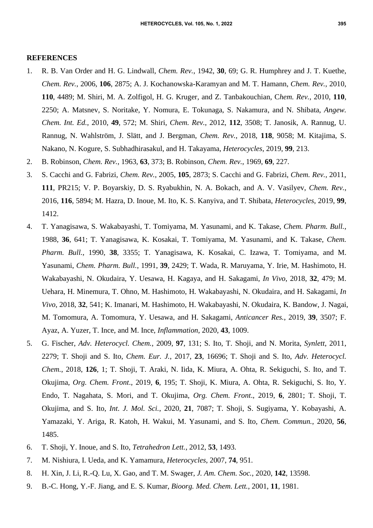#### **REFERENCES**

- 1. R. B. Van Order and H. G. Lindwall, *Chem. Rev.*, 1942, **30**, 69; G. R. Humphrey and J. T. Kuethe, *Chem. Rev.*, 2006, **106**, 2875; A. J. Kochanowska-Karamyan and M. T. Hamann, *Chem. Rev.*, 2010, **110**, 4489; M. Shiri, M. A. Zolfigol, H. G. Kruger, and Z. Tanbakouchian, C*hem. Rev.*, 2010, **110**, 2250; A. Matsnev, S. Noritake, Y. Nomura, E. Tokunaga, S. Nakamura, and N. Shibata, *Angew. Chem. Int. Ed.*, 2010, **49**, 572; M. Shiri, *Chem. Rev.*, 2012, **112**, 3508; T. Janosik, A. Rannug, U. Rannug, N. Wahlström, J. Slätt, and J. Bergman, *Chem. Rev.*, 2018, **118**, 9058; M. Kitajima, S. Nakano, N. Kogure, S. Subhadhirasakul, and H. Takayama, *Heterocycles*, 2019, **99**, 213.
- 2. B. Robinson, *Chem. Rev.*, 1963, **63**, 373; B. Robinson, *Chem. Rev.*, 1969, **69**, 227.
- 3. S. Cacchi and G. Fabrizi, *Chem. Rev.*, 2005, **105**, 2873; S. Cacchi and G. Fabrizi, *Chem. Rev.*, 2011, **111**, PR215; V. P. Boyarskiy, D. S. Ryabukhin, N. A. Bokach, and A. V. Vasilyev, *Chem. Rev.*, 2016, **116**, 5894; M. Hazra, D. Inoue, M. Ito, K. S. Kanyiva, and T. Shibata, *Heterocycles*, 2019, **99**, 1412.
- 4. T. Yanagisawa, S. Wakabayashi, T. Tomiyama, M. Yasunami, and K. Takase, *Chem. Pharm. Bull.*, 1988, **36**, 641; T. Yanagisawa, K. Kosakai, T. Tomiyama, M. Yasunami, and K. Takase, *Chem. Pharm. Bull.*, 1990, **38**, 3355; T. Yanagisawa, K. Kosakai, C. Izawa, T. Tomiyama, and M. Yasunami, *Chem. Pharm. Bull.*, 1991, **39**, 2429; T. Wada, R. Maruyama, Y. Irie, M. Hashimoto, H. Wakabayashi, N. Okudaira, Y. Uesawa, H. Kagaya, and H. Sakagami, *In Vivo*, 2018, **32**, 479; M. Uehara, H. Minemura, T. Ohno, M. Hashimoto, H. Wakabayashi, N. Okudaira, and H. Sakagami, *In Vivo*, 2018, **32**, 541; K. Imanari, M. Hashimoto, H. Wakabayashi, N. Okudaira, K. Bandow, J. Nagai, M. Tomomura, A. Tomomura, Y. Uesawa, and H. Sakagami, *Anticancer Res.*, 2019, **39**, 3507; F. Ayaz, A. Yuzer, T. Ince, and M. Ince, *Inflammation*, 2020, **43**, 1009.
- 5. G. Fischer, *Adv. Heterocycl. Chem.*, 2009, **97**, 131; S. Ito, T. Shoji, and N. Morita, *Synlett*, 2011, 2279; T. Shoji and S. Ito, *Chem. Eur. J.*, 2017, **23**, 16696; T. Shoji and S. Ito, *Adv. Heterocycl. Chem.*, 2018, **126**, 1; T. Shoji, T. Araki, N. Iida, K. Miura, A. Ohta, R. Sekiguchi, S. Ito, and T. Okujima, *Org. Chem. Front*., 2019, **6**, 195; T. Shoji, K. Miura, A. Ohta, R. Sekiguchi, S. Ito, Y. Endo, T. Nagahata, S. Mori, and T. Okujima, *Org. Chem. Front*., 2019, **6**, 2801; T. Shoji, T. Okujima, and S. Ito, *Int. J. Mol. Sci.*, 2020, **21**, 7087; T. Shoji, S. Sugiyama, Y. Kobayashi, A. Yamazaki, Y. Ariga, R. Katoh, H. Wakui, M. Yasunami, and S. Ito, *Chem. Commun.*, 2020, **56**, 1485.
- 6. T. Shoji, Y. Inoue, and S. Ito, *Tetrahedron Lett.*, 2012, **53**, 1493.
- 7. M. Nishiura, I. Ueda, and K. Yamamura, *Heterocycles*, 2007, **74**, 951.
- 8. H. Xin, J. Li, R.-Q. Lu, X. Gao, and T. M. Swager, *J. Am. Chem. Soc.*, 2020, **142**, 13598.
- 9. B.-C. Hong, Y.-F. Jiang, and E. S. Kumar, *Bioorg. Med. Chem. Lett.*, 2001, **11**, 1981.